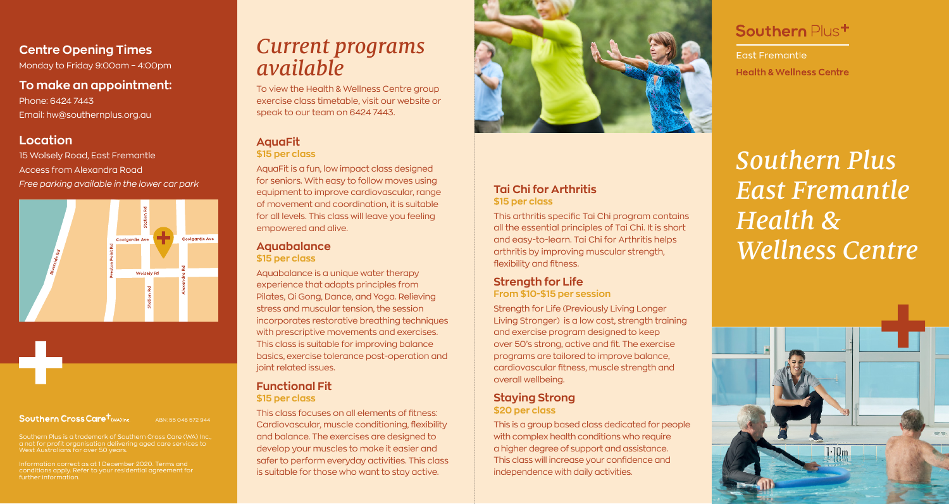## **Centre Opening Times**

Monday to Friday 9:00am – 4:00pm

**To make an appointment:** Phone: 6424 7443 Email: hw@southernplus.org.au

### **Location**

15 Wolsely Road, East Fremantle Access from Alexandra Road *Free parking available in the lower car park*



#### Southern Cross Care<sup>t</sup>

ABN: 55 046 572 944

West Australians for over 50 years.

Information correct as at 1 December 2020. Terms and conditions apply. Refer to your residential agreement for further information.

# *Current programs available*

To view the Health & Wellness Centre group exercise class timetable, visit our website or speak to our team on 6424 7443.

#### **AquaFit \$15 per class**

AquaFit is a fun, low impact class designed for seniors. With easy to follow moves using equipment to improve cardiovascular, range of movement and coordination, it is suitable for all levels. This class will leave you feeling empowered and alive.

#### **Aquabalance \$15 per class**

Aquabalance is a unique water therapy experience that adapts principles from Pilates, Qi Gong, Dance, and Yoga. Relieving stress and muscular tension, the session incorporates restorative breathing techniques with prescriptive movements and exercises. This class is suitable for improving balance basics, exercise tolerance post-operation and joint related issues.

### **Functional Fit \$15 per class**

This class focuses on all elements of fitness: Cardiovascular, muscle conditioning, flexibility and balance. The exercises are designed to develop your muscles to make it easier and safer to perform everyday activities. This class is suitable for those who want to stay active.



#### **Tai Chi for Arthritis \$15 per class**

This arthritis specific Tai Chi program contains all the essential principles of Tai Chi. It is short and easy-to-learn. Tai Chi for Arthritis helps arthritis by improving muscular strength,

## **Strength for Life**

flexibility and fitness.

**From \$10-\$15 per session**

Strength for Life (Previously Living Longer Living Stronger) is a low cost, strength training and exercise program designed to keep over 50's strong, active and fit. The exercise programs are tailored to improve balance, cardiovascular fitness, muscle strength and overall wellbeing.

# **Staying Strong**

#### **\$20 per class**

This is a group based class dedicated for people with complex health conditions who require a higher degree of support and assistance. This class will increase your confidence and independence with daily activities.

# Southern Plus<sup>+</sup>

**Fast Fremantle** Health & Wellness Centre

*Southern Plus East Fremantle Health & Wellness Centre*